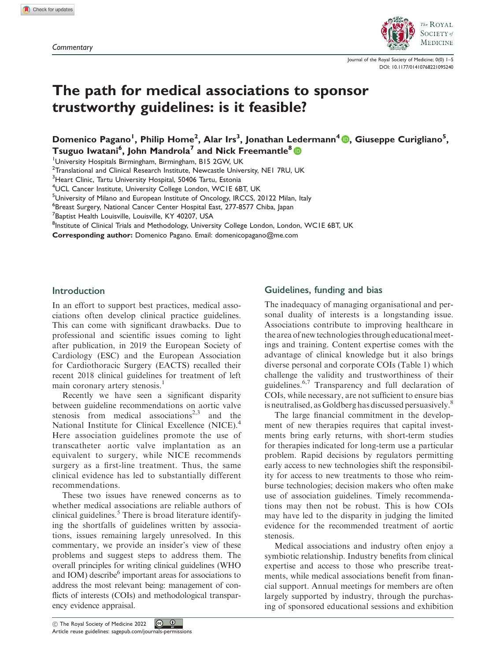

Journal of the Royal Society of Medicine; 0(0) 1–5 [DOI: 10.1177/01410768221095240](http://dx.doi.org/10.1177/01410768221095240)

# The path for medical associations to sponsor trustworthy guidelines: is it feasible?

Domenico Pagano<sup>l</sup>[,](https://orcid.org/0000-0003-3799-3539) Philip Home<sup>2</sup>, Alar Irs<sup>3</sup>, Jonathan Ledermann<sup>4</sup> (D, Giuseppe Curigliano<sup>5</sup>, Tsuguo Iwatani<sup>6</sup>, John Mandrola<sup>7</sup> and Nick Freemantle $^{\rm 8}$ 

<sup>1</sup>University Hospitals Birmingham, Birmingham, B15 2GW, UK

<sup>2</sup>Translational and Clinical Research Institute, Newcastle University, NE1 7RU, UK

<sup>3</sup>Heart Clinic, Tartu University Hospital, 50406 Tartu, Estonia

4 UCL Cancer Institute, University College London, WC1E 6BT, UK

<sup>5</sup>University of Milano and European Institute of Oncology, IRCCS, 20122 Milan, Italy

<sup>6</sup>Breast Surgery, National Cancer Center Hospital East, 277-8577 Chiba, Japan

<sup>7</sup>Baptist Health Louisville, Louisville, KY 40207, USA

<sup>8</sup>Institute of Clinical Trials and Methodology, University College London, London, WC1E 6BT, UK

Corresponding author: Domenico Pagano. Email: [domenicopagano@me.com](mailto:domenicopagano@me.com)

## Introduction

In an effort to support best practices, medical associations often develop clinical practice guidelines. This can come with significant drawbacks. Due to professional and scientific issues coming to light after publication, in 2019 the European Society of Cardiology (ESC) and the European Association for Cardiothoracic Surgery (EACTS) recalled their recent 2018 clinical guidelines for treatment of left main coronary artery stenosis.<sup>1</sup>

Recently we have seen a significant disparity between guideline recommendations on aortic valve stenosis from medical associations<sup>2,3</sup> and the National Institute for Clinical Excellence (NICE).<sup>4</sup> Here association guidelines promote the use of transcatheter aortic valve implantation as an equivalent to surgery, while NICE recommends surgery as a first-line treatment. Thus, the same clinical evidence has led to substantially different recommendations.

These two issues have renewed concerns as to whether medical associations are reliable authors of clinical guidelines.<sup>5</sup> There is broad literature identifying the shortfalls of guidelines written by associations, issues remaining largely unresolved. In this commentary, we provide an insider's view of these problems and suggest steps to address them. The overall principles for writing clinical guidelines (WHO and IOM) describe<sup>6</sup> important areas for associations to address the most relevant being: management of conflicts of interests (COIs) and methodological transparency evidence appraisal.

### Guidelines, funding and bias

The inadequacy of managing organisational and personal duality of interests is a longstanding issue. Associations contribute to improving healthcare in the area of new technologies through educationalmeetings and training. Content expertise comes with the advantage of clinical knowledge but it also brings diverse personal and corporate COIs (Table 1) which challenge the validity and trustworthiness of their guidelines.6,7 Transparency and full declaration of COIs, while necessary, are not sufficient to ensure bias is neutralised, as Goldberg has discussed persuasively.<sup>8</sup>

The large financial commitment in the development of new therapies requires that capital investments bring early returns, with short-term studies for therapies indicated for long-term use a particular problem. Rapid decisions by regulators permitting early access to new technologies shift the responsibility for access to new treatments to those who reimburse technologies; decision makers who often make use of association guidelines. Timely recommendations may then not be robust. This is how COIs may have led to the disparity in judging the limited evidence for the recommended treatment of aortic stenosis.

Medical associations and industry often enjoy a symbiotic relationship. Industry benefits from clinical expertise and access to those who prescribe treatments, while medical associations benefit from financial support. Annual meetings for members are often largely supported by industry, through the purchasing of sponsored educational sessions and exhibition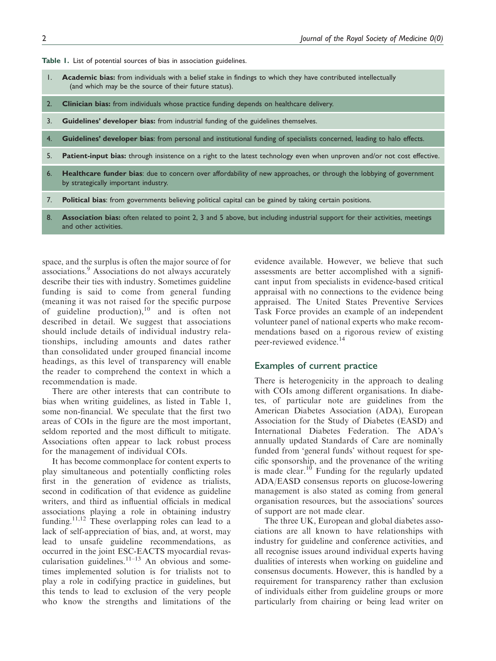Table 1. List of potential sources of bias in association guidelines.

- 1. Academic bias: from individuals with a belief stake in findings to which they have contributed intellectually (and which may be the source of their future status).
- 2. Clinician bias: from individuals whose practice funding depends on healthcare delivery.
- 3. Guidelines' developer bias: from industrial funding of the guidelines themselves.
- 4. Guidelines' developer bias: from personal and institutional funding of specialists concerned, leading to halo effects.
- 5. Patient-input bias: through insistence on a right to the latest technology even when unproven and/or not cost effective.
- 6. Healthcare funder bias: due to concern over affordability of new approaches, or through the lobbying of government by strategically important industry.
- 7. Political bias: from governments believing political capital can be gained by taking certain positions.
- 8. Association bias: often related to point 2, 3 and 5 above, but including industrial support for their activities, meetings and other activities.

space, and the surplus is often the major source of for associations.<sup>9</sup> Associations do not always accurately describe their ties with industry. Sometimes guideline funding is said to come from general funding (meaning it was not raised for the specific purpose of guideline production), $10$  and is often not described in detail. We suggest that associations should include details of individual industry relationships, including amounts and dates rather than consolidated under grouped financial income headings, as this level of transparency will enable the reader to comprehend the context in which a recommendation is made.

There are other interests that can contribute to bias when writing guidelines, as listed in Table 1, some non-financial. We speculate that the first two areas of COIs in the figure are the most important, seldom reported and the most difficult to mitigate. Associations often appear to lack robust process for the management of individual COIs.

It has become commonplace for content experts to play simultaneous and potentially conflicting roles first in the generation of evidence as trialists, second in codification of that evidence as guideline writers, and third as influential officials in medical associations playing a role in obtaining industry funding.<sup>11,12</sup> These overlapping roles can lead to a lack of self-appreciation of bias, and, at worst, may lead to unsafe guideline recommendations, as occurred in the joint ESC-EACTS myocardial revascularisation guidelines. $11-13$  An obvious and sometimes implemented solution is for trialists not to play a role in codifying practice in guidelines, but this tends to lead to exclusion of the very people who know the strengths and limitations of the evidence available. However, we believe that such assessments are better accomplished with a significant input from specialists in evidence-based critical appraisal with no connections to the evidence being appraised. The United States Preventive Services Task Force provides an example of an independent volunteer panel of national experts who make recommendations based on a rigorous review of existing peer-reviewed evidence.<sup>14</sup>

#### Examples of current practice

There is heterogenicity in the approach to dealing with COIs among different organisations. In diabetes, of particular note are guidelines from the American Diabetes Association (ADA), European Association for the Study of Diabetes (EASD) and International Diabetes Federation. The ADA's annually updated Standards of Care are nominally funded from 'general funds' without request for specific sponsorship, and the provenance of the writing is made clear.<sup>10</sup> Funding for the regularly updated ADA/EASD consensus reports on glucose-lowering management is also stated as coming from general organisation resources, but the associations' sources of support are not made clear.

The three UK, European and global diabetes associations are all known to have relationships with industry for guideline and conference activities, and all recognise issues around individual experts having dualities of interests when working on guideline and consensus documents. However, this is handled by a requirement for transparency rather than exclusion of individuals either from guideline groups or more particularly from chairing or being lead writer on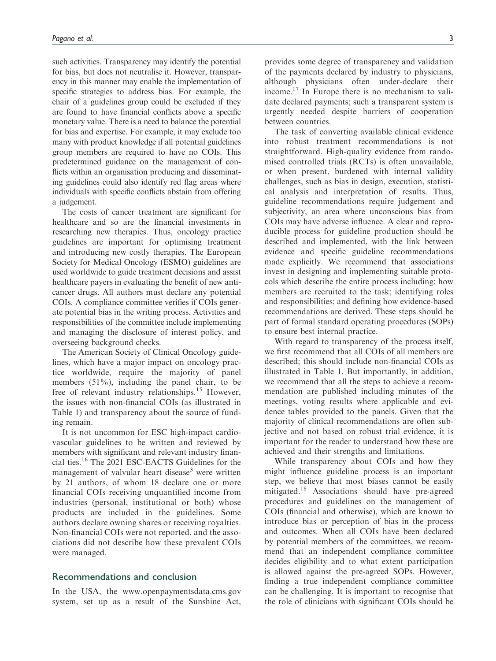such activities. Transparency may identify the potential for bias, but does not neutralise it. However, transparency in this manner may enable the implementation of specific strategies to address bias. For example, the chair of a guidelines group could be excluded if they are found to have financial conflicts above a specific monetary value. There is a need to balance the potential for bias and expertise. For example, it may exclude too many with product knowledge if all potential guidelines group members are required to have no COIs. This predetermined guidance on the management of conflicts within an organisation producing and disseminating guidelines could also identify red flag areas where individuals with specific conflicts abstain from offering a judgement.

The costs of cancer treatment are significant for healthcare and so are the financial investments in researching new therapies. Thus, oncology practice guidelines are important for optimising treatment and introducing new costly therapies. The European Society for Medical Oncology (ESMO) guidelines are used worldwide to guide treatment decisions and assist healthcare payers in evaluating the benefit of new anticancer drugs. All authors must declare any potential COIs. A compliance committee verifies if COIs generate potential bias in the writing process. Activities and responsibilities of the committee include implementing and managing the disclosure of interest policy, and overseeing background checks.

The American Society of Clinical Oncology guidelines, which have a major impact on oncology practice worldwide, require the majority of panel members (51%), including the panel chair, to be free of relevant industry relationships.<sup>15</sup> However, the issues with non-financial COIs (as illustrated in Table 1) and transparency about the source of funding remain.

It is not uncommon for ESC high-impact cardiovascular guidelines to be written and reviewed by members with significant and relevant industry financial ties.<sup>16</sup> The 2021 ESC-EACTS Guidelines for the management of valvular heart disease<sup>3</sup> were written by 21 authors, of whom 18 declare one or more financial COIs receiving unquantified income from industries (personal, institutional or both) whose products are included in the guidelines. Some authors declare owning shares or receiving royalties. Non-financial COIs were not reported, and the associations did not describe how these prevalent COIs were managed.

#### Recommendations and conclusion

In the USA, the [www.openpaymentsdata.cms.gov](http://www.openpaymentsdata.cms.gov) system, set up as a result of the Sunshine Act, provides some degree of transparency and validation of the payments declared by industry to physicians, although physicians often under-declare their income.<sup>17</sup> In Europe there is no mechanism to validate declared payments; such a transparent system is urgently needed despite barriers of cooperation between countries.

The task of converting available clinical evidence into robust treatment recommendations is not straightforward. High-quality evidence from randomised controlled trials (RCTs) is often unavailable, or when present, burdened with internal validity challenges, such as bias in design, execution, statistical analysis and interpretation of results. Thus, guideline recommendations require judgement and subjectivity, an area where unconscious bias from COIs may have adverse influence. A clear and reproducible process for guideline production should be described and implemented, with the link between evidence and specific guideline recommendations made explicitly. We recommend that associations invest in designing and implementing suitable protocols which describe the entire process including: how members are recruited to the task; identifying roles and responsibilities; and defining how evidence-based recommendations are derived. These steps should be part of formal standard operating procedures (SOPs) to ensure best internal practice.

With regard to transparency of the process itself, we first recommend that all COIs of all members are described; this should include non-financial COIs as illustrated in Table 1. But importantly, in addition, we recommend that all the steps to achieve a recommendation are published including minutes of the meetings, voting results where applicable and evidence tables provided to the panels. Given that the majority of clinical recommendations are often subjective and not based on robust trial evidence, it is important for the reader to understand how these are achieved and their strengths and limitations.

While transparency about COIs and how they might influence guideline process is an important step, we believe that most biases cannot be easily mitigated.<sup>18</sup> Associations should have pre-agreed procedures and guidelines on the management of COIs (financial and otherwise), which are known to introduce bias or perception of bias in the process and outcomes. When all COIs have been declared by potential members of the committees, we recommend that an independent compliance committee decides eligibility and to what extent participation is allowed against the pre-agreed SOPs. However, finding a true independent compliance committee can be challenging. It is important to recognise that the role of clinicians with significant COIs should be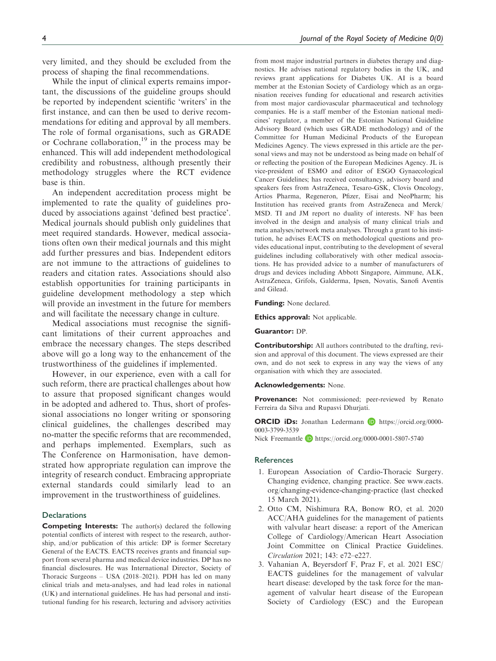very limited, and they should be excluded from the process of shaping the final recommendations.

While the input of clinical experts remains important, the discussions of the guideline groups should be reported by independent scientific 'writers' in the first instance, and can then be used to derive recommendations for editing and approval by all members. The role of formal organisations, such as GRADE or Cochrane collaboration, $19$  in the process may be enhanced. This will add independent methodological credibility and robustness, although presently their methodology struggles where the RCT evidence base is thin.

An independent accreditation process might be implemented to rate the quality of guidelines produced by associations against 'defined best practice'. Medical journals should publish only guidelines that meet required standards. However, medical associations often own their medical journals and this might add further pressures and bias. Independent editors are not immune to the attractions of guidelines to readers and citation rates. Associations should also establish opportunities for training participants in guideline development methodology a step which will provide an investment in the future for members and will facilitate the necessary change in culture.

Medical associations must recognise the significant limitations of their current approaches and embrace the necessary changes. The steps described above will go a long way to the enhancement of the trustworthiness of the guidelines if implemented.

However, in our experience, even with a call for such reform, there are practical challenges about how to assure that proposed significant changes would in be adopted and adhered to. Thus, short of professional associations no longer writing or sponsoring clinical guidelines, the challenges described may no-matter the specific reforms that are recommended, and perhaps implemented. Exemplars, such as The Conference on Harmonisation, have demonstrated how appropriate regulation can improve the integrity of research conduct. Embracing appropriate external standards could similarly lead to an improvement in the trustworthiness of guidelines.

#### **Declarations**

Competing Interests: The author(s) declared the following potential conflicts of interest with respect to the research, authorship, and/or publication of this article: DP is former Secretary General of the EACTS. EACTS receives grants and financial support from several pharma and medical device industries. DP has no financial disclosures. He was International Director, Society of Thoracic Surgeons – USA (2018–2021). PDH has led on many clinical trials and meta-analyses, and had lead roles in national (UK) and international guidelines. He has had personal and institutional funding for his research, lecturing and advisory activities from most major industrial partners in diabetes therapy and diagnostics. He advises national regulatory bodies in the UK, and reviews grant applications for Diabetes UK. AI is a board member at the Estonian Society of Cardiology which as an organisation receives funding for educational and research activities from most major cardiovascular pharmaceutical and technology companies. He is a staff member of the Estonian national medicines' regulator, a member of the Estonian National Guideline Advisory Board (which uses GRADE methodology) and of the Committee for Human Medicinal Products of the European Medicines Agency. The views expressed in this article are the personal views and may not be understood as being made on behalf of or reflecting the position of the European Medicines Agency. JL is vice-president of ESMO and editor of ESGO Gynaecological Cancer Guidelines; has received consultancy, advisory board and speakers fees from AstraZeneca, Tesaro-GSK, Clovis Oncology, Artios Pharma, Regeneron, Pfizer, Eisai and NeoPharm; his Institution has received grants from AstraZeneca and Merck/ MSD. TI and JM report no duality of interests. NF has been involved in the design and analysis of many clinical trials and meta analyses/network meta analyses. Through a grant to his institution, he advises EACTS on methodological questions and provides educational input, contributing to the development of several guidelines including collaboratively with other medical associations. He has provided advice to a number of manufacturers of drugs and devices including Abbott Singapore, Aimmune, ALK, AstraZeneca, Grifols, Galderma, Ipsen, Novatis, Sanofi Aventis and Gilead.

Funding: None declared.

Ethics approval: Not applicable.

#### Guarantor: DP.

Contributorship: All authors contributed to the drafting, revision and approval of this document. The views expressed are their own, and do not seek to express in any way the views of any organisation with which they are associated.

#### Acknowledgements: None.

Provenance: Not commissioned; peer-reviewed by Renato Ferreira da Silva and Rupasvi Dhurjati.

ORCID iDs: Jonathan Ledermann D [https://orcid.org/0000-](https://orcid.org/0000-0003-3799-3539) [0003-3799-3539](https://orcid.org/0000-0003-3799-3539) Nick Freemantle **b** <https://orcid.org/0000-0001-5807-5740>

# **References**

- 1. European Association of Cardio-Thoracic Surgery. Changing evidence, changing practice. See [www.eacts.](http://www.eacts.org/changing-evidence-changing-practice) [org/changing-evidence-changing-practice](http://www.eacts.org/changing-evidence-changing-practice) (last checked 15 March 2021).
- 2. Otto CM, Nishimura RA, Bonow RO, et al. 2020 ACC/AHA guidelines for the management of patients with valvular heart disease: a report of the American College of Cardiology/American Heart Association Joint Committee on Clinical Practice Guidelines. Circulation 2021; 143: e72–e227.
- 3. Vahanian A, Beyersdorf F, Praz F, et al. 2021 ESC/ EACTS guidelines for the management of valvular heart disease: developed by the task force for the management of valvular heart disease of the European Society of Cardiology (ESC) and the European